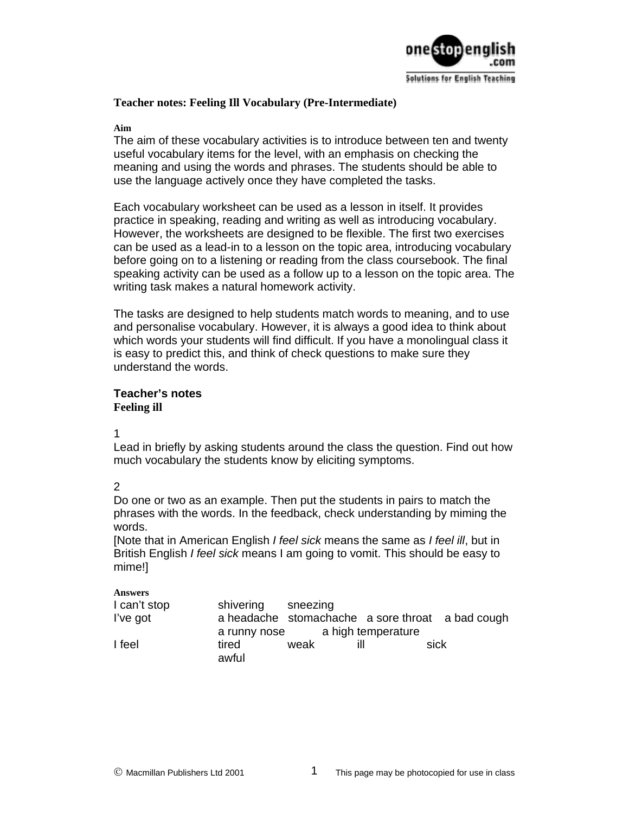

### **Teacher notes: Feeling Ill Vocabulary (Pre-Intermediate)**

**Aim** 

The aim of these vocabulary activities is to introduce between ten and twenty useful vocabulary items for the level, with an emphasis on checking the meaning and using the words and phrases. The students should be able to use the language actively once they have completed the tasks.

Each vocabulary worksheet can be used as a lesson in itself. It provides practice in speaking, reading and writing as well as introducing vocabulary. However, the worksheets are designed to be flexible. The first two exercises can be used as a lead-in to a lesson on the topic area, introducing vocabulary before going on to a listening or reading from the class coursebook. The final speaking activity can be used as a follow up to a lesson on the topic area. The writing task makes a natural homework activity.

The tasks are designed to help students match words to meaning, and to use and personalise vocabulary. However, it is always a good idea to think about which words your students will find difficult. If you have a monolingual class it is easy to predict this, and think of check questions to make sure they understand the words.

# **Teacher's notes Feeling ill**

1

Lead in briefly by asking students around the class the question. Find out how much vocabulary the students know by eliciting symptoms.

# 2

Do one or two as an example. Then put the students in pairs to match the phrases with the words. In the feedback, check understanding by miming the words.

[Note that in American English *I feel sick* means the same as *I feel ill*, but in British English *I feel sick* means I am going to vomit. This should be easy to mime!]

#### **Answers**

| I can't stop | shivering    | sneezing |                    |                                                  |
|--------------|--------------|----------|--------------------|--------------------------------------------------|
| I've got     |              |          |                    | a headache stomachache a sore throat a bad cough |
|              | a runny nose |          | a high temperature |                                                  |
| I feel       | tired        | weak     | ill                | sick                                             |
|              | awful        |          |                    |                                                  |